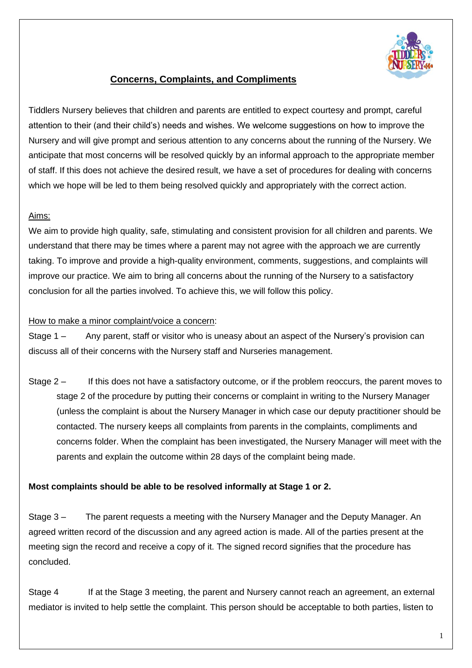

## **Concerns, Complaints, and Compliments**

Tiddlers Nursery believes that children and parents are entitled to expect courtesy and prompt, careful attention to their (and their child's) needs and wishes. We welcome suggestions on how to improve the Nursery and will give prompt and serious attention to any concerns about the running of the Nursery. We anticipate that most concerns will be resolved quickly by an informal approach to the appropriate member of staff. If this does not achieve the desired result, we have a set of procedures for dealing with concerns which we hope will be led to them being resolved quickly and appropriately with the correct action.

### Aims:

We aim to provide high quality, safe, stimulating and consistent provision for all children and parents. We understand that there may be times where a parent may not agree with the approach we are currently taking. To improve and provide a high-quality environment, comments, suggestions, and complaints will improve our practice. We aim to bring all concerns about the running of the Nursery to a satisfactory conclusion for all the parties involved. To achieve this, we will follow this policy.

#### How to make a minor complaint/voice a concern:

Stage 1 – Any parent, staff or visitor who is uneasy about an aspect of the Nursery's provision can discuss all of their concerns with the Nursery staff and Nurseries management.

Stage 2 – If this does not have a satisfactory outcome, or if the problem reoccurs, the parent moves to stage 2 of the procedure by putting their concerns or complaint in writing to the Nursery Manager (unless the complaint is about the Nursery Manager in which case our deputy practitioner should be contacted. The nursery keeps all complaints from parents in the complaints, compliments and concerns folder. When the complaint has been investigated, the Nursery Manager will meet with the parents and explain the outcome within 28 days of the complaint being made.

### **Most complaints should be able to be resolved informally at Stage 1 or 2.**

Stage 3 – The parent requests a meeting with the Nursery Manager and the Deputy Manager. An agreed written record of the discussion and any agreed action is made. All of the parties present at the meeting sign the record and receive a copy of it. The signed record signifies that the procedure has concluded.

Stage 4 If at the Stage 3 meeting, the parent and Nursery cannot reach an agreement, an external mediator is invited to help settle the complaint. This person should be acceptable to both parties, listen to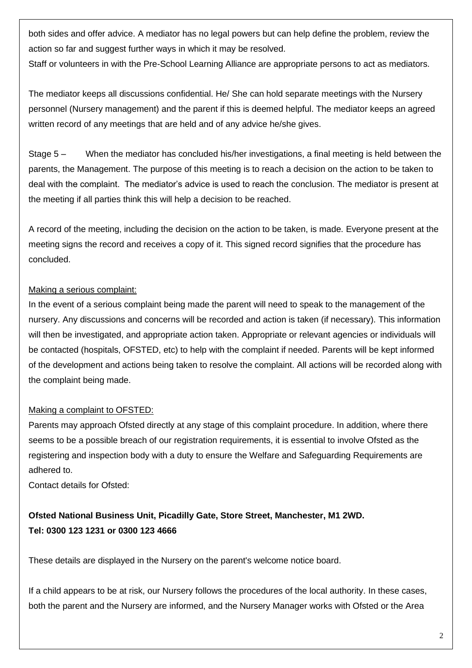both sides and offer advice. A mediator has no legal powers but can help define the problem, review the action so far and suggest further ways in which it may be resolved.

Staff or volunteers in with the Pre-School Learning Alliance are appropriate persons to act as mediators.

The mediator keeps all discussions confidential. He/ She can hold separate meetings with the Nursery personnel (Nursery management) and the parent if this is deemed helpful. The mediator keeps an agreed written record of any meetings that are held and of any advice he/she gives.

Stage 5 – When the mediator has concluded his/her investigations, a final meeting is held between the parents, the Management. The purpose of this meeting is to reach a decision on the action to be taken to deal with the complaint. The mediator's advice is used to reach the conclusion. The mediator is present at the meeting if all parties think this will help a decision to be reached.

A record of the meeting, including the decision on the action to be taken, is made. Everyone present at the meeting signs the record and receives a copy of it. This signed record signifies that the procedure has concluded.

### Making a serious complaint:

In the event of a serious complaint being made the parent will need to speak to the management of the nursery. Any discussions and concerns will be recorded and action is taken (if necessary). This information will then be investigated, and appropriate action taken. Appropriate or relevant agencies or individuals will be contacted (hospitals, OFSTED, etc) to help with the complaint if needed. Parents will be kept informed of the development and actions being taken to resolve the complaint. All actions will be recorded along with the complaint being made.

### Making a complaint to OFSTED:

Parents may approach Ofsted directly at any stage of this complaint procedure. In addition, where there seems to be a possible breach of our registration requirements, it is essential to involve Ofsted as the registering and inspection body with a duty to ensure the Welfare and Safeguarding Requirements are adhered to.

Contact details for Ofsted:

# **Ofsted National Business Unit, Picadilly Gate, Store Street, Manchester, M1 2WD. Tel: 0300 123 1231 or 0300 123 4666**

These details are displayed in the Nursery on the parent's welcome notice board.

If a child appears to be at risk, our Nursery follows the procedures of the local authority. In these cases, both the parent and the Nursery are informed, and the Nursery Manager works with Ofsted or the Area